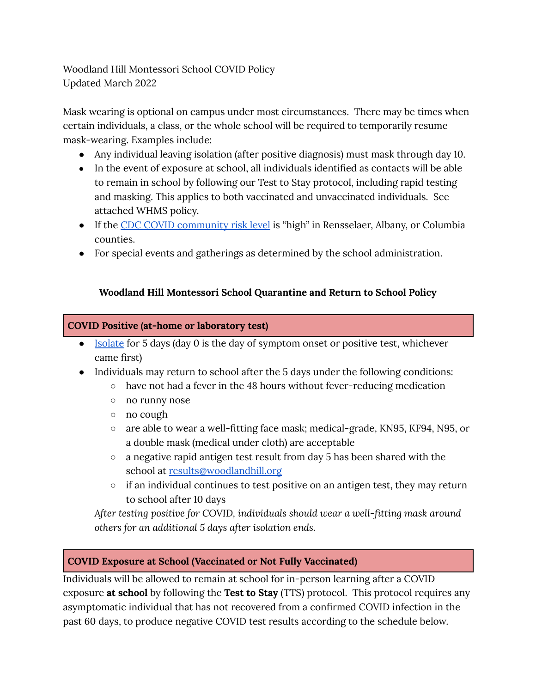Woodland Hill Montessori School COVID Policy Updated March 2022

Mask wearing is optional on campus under most circumstances. There may be times when certain individuals, a class, or the whole school will be required to temporarily resume mask-wearing. Examples include:

- Any individual leaving isolation (after positive diagnosis) must mask through day 10.
- In the event of exposure at school, all individuals identified as contacts will be able to remain in school by following our Test to Stay protocol, including rapid testing and masking. This applies to both vaccinated and unvaccinated individuals. See attached WHMS policy.
- If the CDC COVID [community](https://www.cdc.gov/coronavirus/2019-ncov/science/community-levels.html) risk level is "high" in Rensselaer, Albany, or Columbia counties.
- For special events and gatherings as determined by the school administration.

# **Woodland Hill Montessori School Quarantine and Return to School Policy**

# **COVID Positive (at-home or laboratory test)**

- [Isolate](https://coronavirus.health.ny.gov/new-york-state-contact-tracing) for 5 days (day 0 is the day of symptom onset or positive test, whichever came first)
- Individuals may return to school after the 5 days under the following conditions:
	- $\circ$  have not had a fever in the 48 hours without fever-reducing medication
	- no runny nose
	- no cough
	- are able to wear a well-fitting face mask; medical-grade, KN95, KF94, N95, or a double mask (medical under cloth) are acceptable
	- a negative rapid antigen test result from day 5 has been shared with the school at [results@woodlandhill.org](mailto:results@woodlandhill.org)
	- $\circ$  if an individual continues to test positive on an antigen test, they may return to school after 10 days

*After testing positive for COVID, individuals should wear a well-fitting mask around others for an additional 5 days after isolation ends.*

# **COVID Exposure at School (Vaccinated or Not Fully Vaccinated)**

Individuals will be allowed to remain at school for in-person learning after a COVID exposure **at school** by following the **Test to Stay** (TTS) protocol. This protocol requires any asymptomatic individual that has not recovered from a confirmed COVID infection in the past 60 days, to produce negative COVID test results according to the schedule below.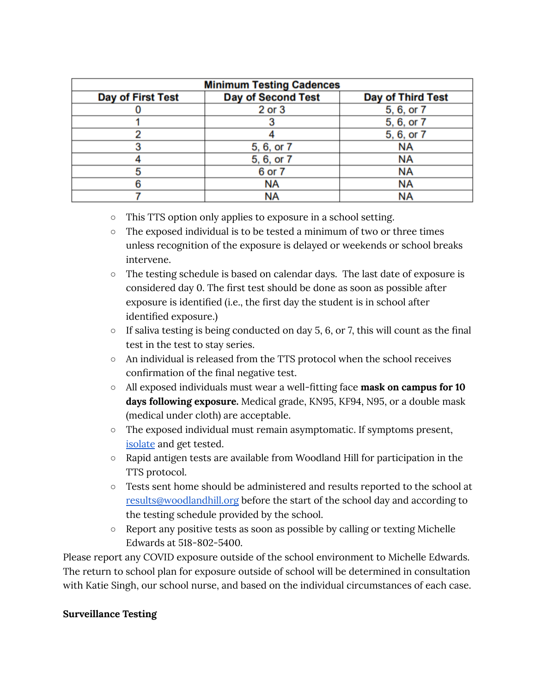| <b>Minimum Testing Cadences</b> |                           |                          |
|---------------------------------|---------------------------|--------------------------|
| <b>Day of First Test</b>        | <b>Day of Second Test</b> | <b>Day of Third Test</b> |
|                                 | 2 or 3                    | 5, 6, or 7               |
|                                 |                           | 5, 6, or 7               |
|                                 |                           | 5, 6, or 7               |
|                                 | 5, 6, or 7                | <b>NA</b>                |
|                                 | 5, 6, or 7                | <b>NA</b>                |
|                                 | 6 or 7                    | NA                       |
|                                 | <b>NA</b>                 | NA                       |
|                                 | <b>NA</b>                 | <b>NA</b>                |

- This TTS option only applies to exposure in a school setting.
- The exposed individual is to be tested a minimum of two or three times unless recognition of the exposure is delayed or weekends or school breaks intervene.
- The testing schedule is based on calendar days. The last date of exposure is considered day 0. The first test should be done as soon as possible after exposure is identified (i.e., the first day the student is in school after identified exposure.)
- $\circ$  If saliva testing is being conducted on day 5, 6, or 7, this will count as the final test in the test to stay series.
- An individual is released from the TTS protocol when the school receives confirmation of the final negative test.
- All exposed individuals must wear a well-fitting face **mask on campus for 10 days following exposure.** Medical grade, KN95, KF94, N95, or a double mask (medical under cloth) are acceptable.
- The exposed individual must remain asymptomatic. If symptoms present, [isolate](https://coronavirus.health.ny.gov/new-york-state-contact-tracing) and get tested.
- Rapid antigen tests are available from Woodland Hill for participation in the TTS protocol.
- Tests sent home should be administered and results reported to the school at [results@woodlandhill.org](mailto:results@woodlandhill.org) before the start of the school day and according to the testing schedule provided by the school.
- Report any positive tests as soon as possible by calling or texting Michelle Edwards at 518-802-5400.

Please report any COVID exposure outside of the school environment to Michelle Edwards. The return to school plan for exposure outside of school will be determined in consultation with Katie Singh, our school nurse, and based on the individual circumstances of each case.

#### **Surveillance Testing**